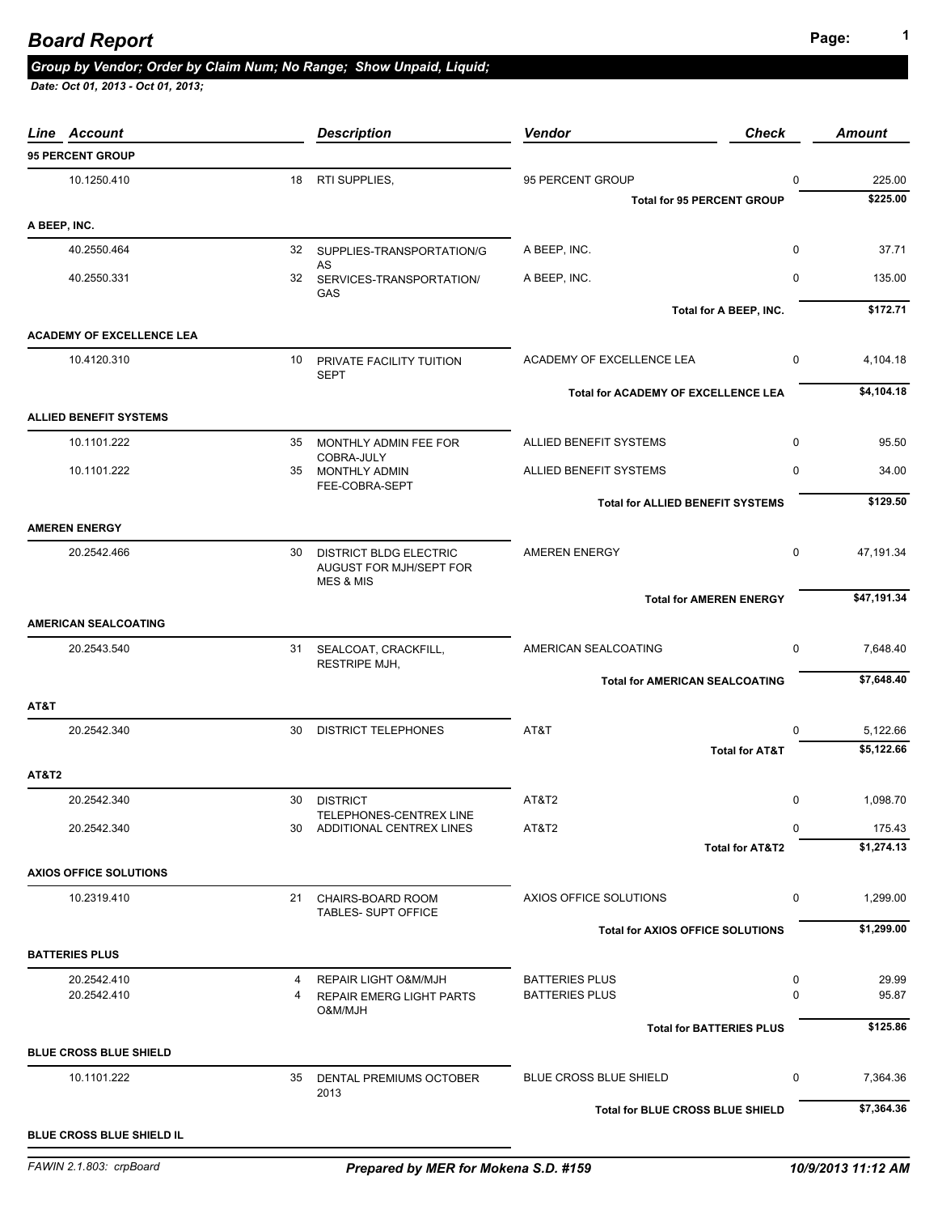## *Group by Vendor; Order by Claim Num; No Range; Show Unpaid, Liquid;*

| Line Account                     |    | <b>Description</b>                                                               | <b>Vendor</b>                           | <b>Check</b>               | <b>Amount</b> |
|----------------------------------|----|----------------------------------------------------------------------------------|-----------------------------------------|----------------------------|---------------|
| <b>95 PERCENT GROUP</b>          |    |                                                                                  |                                         |                            |               |
| 10.1250.410                      | 18 | RTI SUPPLIES,                                                                    | 95 PERCENT GROUP                        | $\mathbf 0$                | 225.00        |
|                                  |    |                                                                                  | <b>Total for 95 PERCENT GROUP</b>       |                            | \$225.00      |
| A BEEP, INC.                     |    |                                                                                  |                                         |                            |               |
| 40.2550.464                      |    | 32 SUPPLIES-TRANSPORTATION/G                                                     | A BEEP, INC.                            | $\mathbf 0$                | 37.71         |
| 40.2550.331                      |    | AS<br>32 SERVICES-TRANSPORTATION/<br>GAS                                         | A BEEP, INC.                            | 0                          | 135.00        |
|                                  |    |                                                                                  |                                         | Total for A BEEP, INC.     | \$172.71      |
| <b>ACADEMY OF EXCELLENCE LEA</b> |    |                                                                                  |                                         |                            |               |
| 10.4120.310                      | 10 | PRIVATE FACILITY TUITION<br><b>SEPT</b>                                          | ACADEMY OF EXCELLENCE LEA               | $\mathbf 0$                | 4,104.18      |
|                                  |    |                                                                                  | Total for ACADEMY OF EXCELLENCE LEA     |                            | \$4,104.18    |
| <b>ALLIED BENEFIT SYSTEMS</b>    |    |                                                                                  |                                         |                            |               |
| 10.1101.222                      | 35 | MONTHLY ADMIN FEE FOR<br>COBRA-JULY                                              | ALLIED BENEFIT SYSTEMS                  | $\mathbf 0$                | 95.50         |
| 10.1101.222                      |    | 35 MONTHLY ADMIN<br>FEE-COBRA-SEPT                                               | ALLIED BENEFIT SYSTEMS                  | $\mathbf 0$                | 34.00         |
|                                  |    |                                                                                  | <b>Total for ALLIED BENEFIT SYSTEMS</b> |                            | \$129.50      |
| <b>AMEREN ENERGY</b>             |    |                                                                                  |                                         |                            |               |
| 20.2542.466                      | 30 | <b>DISTRICT BLDG ELECTRIC</b><br>AUGUST FOR MJH/SEPT FOR<br><b>MES &amp; MIS</b> | <b>AMEREN ENERGY</b>                    | $\mathbf 0$                | 47,191.34     |
|                                  |    |                                                                                  | <b>Total for AMEREN ENERGY</b>          |                            | \$47,191.34   |
| <b>AMERICAN SEALCOATING</b>      |    |                                                                                  |                                         |                            |               |
| 20.2543.540                      |    | 31 SEALCOAT, CRACKFILL,<br><b>RESTRIPE MJH,</b>                                  | AMERICAN SEALCOATING                    | 0                          | 7,648.40      |
|                                  |    |                                                                                  | <b>Total for AMERICAN SEALCOATING</b>   |                            | \$7,648.40    |
| AT&T                             |    |                                                                                  |                                         |                            |               |
| 20.2542.340                      | 30 | <b>DISTRICT TELEPHONES</b>                                                       | AT&T                                    | $\Omega$                   | 5,122.66      |
|                                  |    |                                                                                  |                                         | <b>Total for AT&amp;T</b>  | \$5,122.66    |
| <b>AT&amp;T2</b>                 |    |                                                                                  |                                         |                            |               |
| 20.2542.340                      |    | 30 DISTRICT                                                                      | AT&T2                                   | 0                          | 1,098.70      |
| 20.2542.340                      | 30 | TELEPHONES-CENTREX LINE<br>ADDITIONAL CENTREX LINES                              | AT&T2                                   | $\Omega$                   | 175.43        |
|                                  |    |                                                                                  |                                         | <b>Total for AT&amp;T2</b> | \$1,274.13    |
| <b>AXIOS OFFICE SOLUTIONS</b>    |    |                                                                                  |                                         |                            |               |
| 10.2319.410                      |    | 21 CHAIRS-BOARD ROOM<br><b>TABLES- SUPT OFFICE</b>                               | AXIOS OFFICE SOLUTIONS                  | 0                          | 1,299.00      |
|                                  |    |                                                                                  | <b>Total for AXIOS OFFICE SOLUTIONS</b> |                            | \$1,299.00    |
| <b>BATTERIES PLUS</b>            |    |                                                                                  |                                         |                            |               |
| 20.2542.410                      | 4  | <b>REPAIR LIGHT O&amp;M/MJH</b>                                                  | <b>BATTERIES PLUS</b>                   | 0                          | 29.99         |
| 20.2542.410                      | 4  | <b>REPAIR EMERG LIGHT PARTS</b><br>O&M/MJH                                       | <b>BATTERIES PLUS</b>                   | 0                          | 95.87         |
|                                  |    |                                                                                  | <b>Total for BATTERIES PLUS</b>         |                            | \$125.86      |
| <b>BLUE CROSS BLUE SHIELD</b>    |    |                                                                                  |                                         |                            |               |
| 10.1101.222                      | 35 | DENTAL PREMIUMS OCTOBER<br>2013                                                  | <b>BLUE CROSS BLUE SHIELD</b>           | 0                          | 7,364.36      |
|                                  |    |                                                                                  | Total for BLUE CROSS BLUE SHIELD        |                            | \$7,364.36    |
| BLUE CROSS BLUE SHIELD IL        |    |                                                                                  |                                         |                            |               |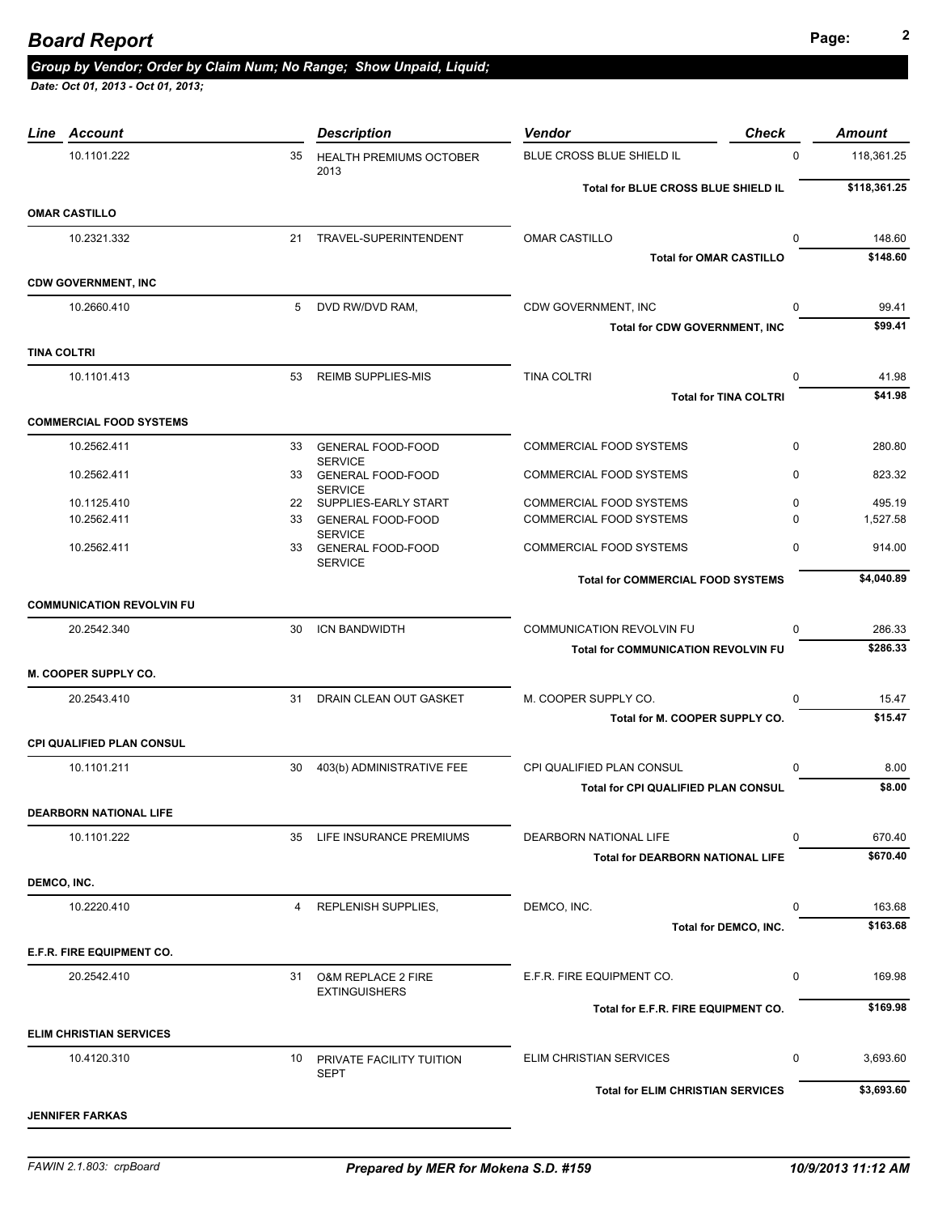# **Page: <sup>2</sup>** *Board Report*

# *Group by Vendor; Order by Claim Num; No Range; Show Unpaid, Liquid;*

| Line               | <b>Account</b>                   |    | <b>Description</b>                                    | <b>Check</b><br><b>Vendor</b>              |             | <b>Amount</b>      |
|--------------------|----------------------------------|----|-------------------------------------------------------|--------------------------------------------|-------------|--------------------|
|                    | 10.1101.222                      | 35 | <b>HEALTH PREMIUMS OCTOBER</b>                        | BLUE CROSS BLUE SHIELD IL                  | $\mathbf 0$ | 118,361.25         |
|                    |                                  |    | 2013                                                  | Total for BLUE CROSS BLUE SHIELD IL        |             | \$118,361.25       |
|                    | <b>OMAR CASTILLO</b>             |    |                                                       |                                            |             |                    |
|                    | 10.2321.332                      | 21 | TRAVEL-SUPERINTENDENT                                 | <b>OMAR CASTILLO</b>                       | 0           | 148.60             |
|                    |                                  |    |                                                       | <b>Total for OMAR CASTILLO</b>             |             | \$148.60           |
|                    | <b>CDW GOVERNMENT, INC</b>       |    |                                                       |                                            |             |                    |
|                    | 10.2660.410                      |    | 5 DVD RW/DVD RAM.                                     | CDW GOVERNMENT, INC                        | 0           | 99.41              |
|                    |                                  |    |                                                       | <b>Total for CDW GOVERNMENT, INC</b>       |             | \$99.41            |
| <b>TINA COLTRI</b> |                                  |    |                                                       |                                            |             |                    |
|                    | 10.1101.413                      | 53 | <b>REIMB SUPPLIES-MIS</b>                             | <b>TINA COLTRI</b>                         | $\mathbf 0$ | 41.98              |
|                    |                                  |    |                                                       | <b>Total for TINA COLTRI</b>               |             | \$41.98            |
|                    | <b>COMMERCIAL FOOD SYSTEMS</b>   |    |                                                       |                                            |             |                    |
|                    | 10.2562.411                      |    | 33 GENERAL FOOD-FOOD                                  | <b>COMMERCIAL FOOD SYSTEMS</b>             | $\mathbf 0$ | 280.80             |
|                    | 10.2562.411                      | 33 | <b>SERVICE</b><br><b>GENERAL FOOD-FOOD</b>            | COMMERCIAL FOOD SYSTEMS                    | 0           | 823.32             |
|                    | 10.1125.410                      |    | <b>SERVICE</b><br>22 SUPPLIES-EARLY START             | <b>COMMERCIAL FOOD SYSTEMS</b>             | 0           | 495.19             |
|                    | 10.2562.411                      |    | 33 GENERAL FOOD-FOOD                                  | <b>COMMERCIAL FOOD SYSTEMS</b>             | 0           | 1,527.58           |
|                    | 10.2562.411                      | 33 | <b>SERVICE</b><br><b>GENERAL FOOD-FOOD</b>            | COMMERCIAL FOOD SYSTEMS                    | $\mathbf 0$ | 914.00             |
|                    |                                  |    | <b>SERVICE</b>                                        |                                            |             |                    |
|                    |                                  |    |                                                       | <b>Total for COMMERCIAL FOOD SYSTEMS</b>   |             | \$4,040.89         |
|                    | <b>COMMUNICATION REVOLVIN FU</b> |    |                                                       |                                            |             |                    |
|                    | 20.2542.340                      | 30 | ICN BANDWIDTH                                         | <b>COMMUNICATION REVOLVIN FU</b>           | $\Omega$    | 286.33             |
|                    |                                  |    |                                                       | <b>Total for COMMUNICATION REVOLVIN FU</b> |             | \$286.33           |
|                    | M. COOPER SUPPLY CO.             |    |                                                       |                                            |             |                    |
|                    | 20.2543.410                      | 31 | DRAIN CLEAN OUT GASKET                                | M. COOPER SUPPLY CO.                       | 0           | 15.47              |
|                    |                                  |    |                                                       | Total for M. COOPER SUPPLY CO.             |             | \$15.47            |
|                    | <b>CPI QUALIFIED PLAN CONSUL</b> |    |                                                       |                                            |             |                    |
|                    | 10.1101.211                      | 30 | 403(b) ADMINISTRATIVE FEE                             | CPI QUALIFIED PLAN CONSUL                  | 0           | 8.00               |
|                    |                                  |    |                                                       | Total for CPI QUALIFIED PLAN CONSUL        |             | \$8.00             |
|                    | <b>DEARBORN NATIONAL LIFE</b>    |    |                                                       |                                            |             |                    |
|                    | 10.1101.222                      | 35 | LIFE INSURANCE PREMIUMS                               | DEARBORN NATIONAL LIFE                     | 0           | 670.40             |
|                    |                                  |    |                                                       | <b>Total for DEARBORN NATIONAL LIFE</b>    |             | \$670.40           |
| DEMCO, INC.        |                                  |    |                                                       |                                            |             |                    |
|                    | 10.2220.410                      | 4  | <b>REPLENISH SUPPLIES,</b>                            | DEMCO, INC.                                | $\mathbf 0$ | 163.68<br>\$163.68 |
|                    |                                  |    |                                                       | Total for DEMCO, INC.                      |             |                    |
|                    | E.F.R. FIRE EQUIPMENT CO.        |    |                                                       |                                            |             |                    |
|                    | 20.2542.410                      | 31 | <b>O&amp;M REPLACE 2 FIRE</b><br><b>EXTINGUISHERS</b> | E.F.R. FIRE EQUIPMENT CO.                  | $\mathbf 0$ | 169.98             |
|                    |                                  |    |                                                       | Total for E.F.R. FIRE EQUIPMENT CO.        |             | \$169.98           |
|                    | <b>ELIM CHRISTIAN SERVICES</b>   |    |                                                       |                                            |             |                    |
|                    | 10.4120.310                      |    | 10 PRIVATE FACILITY TUITION                           | ELIM CHRISTIAN SERVICES                    | 0           | 3,693.60           |
|                    |                                  |    | <b>SEPT</b>                                           |                                            |             | \$3,693.60         |
|                    |                                  |    |                                                       | <b>Total for ELIM CHRISTIAN SERVICES</b>   |             |                    |
|                    | <b>JENNIFER FARKAS</b>           |    |                                                       |                                            |             |                    |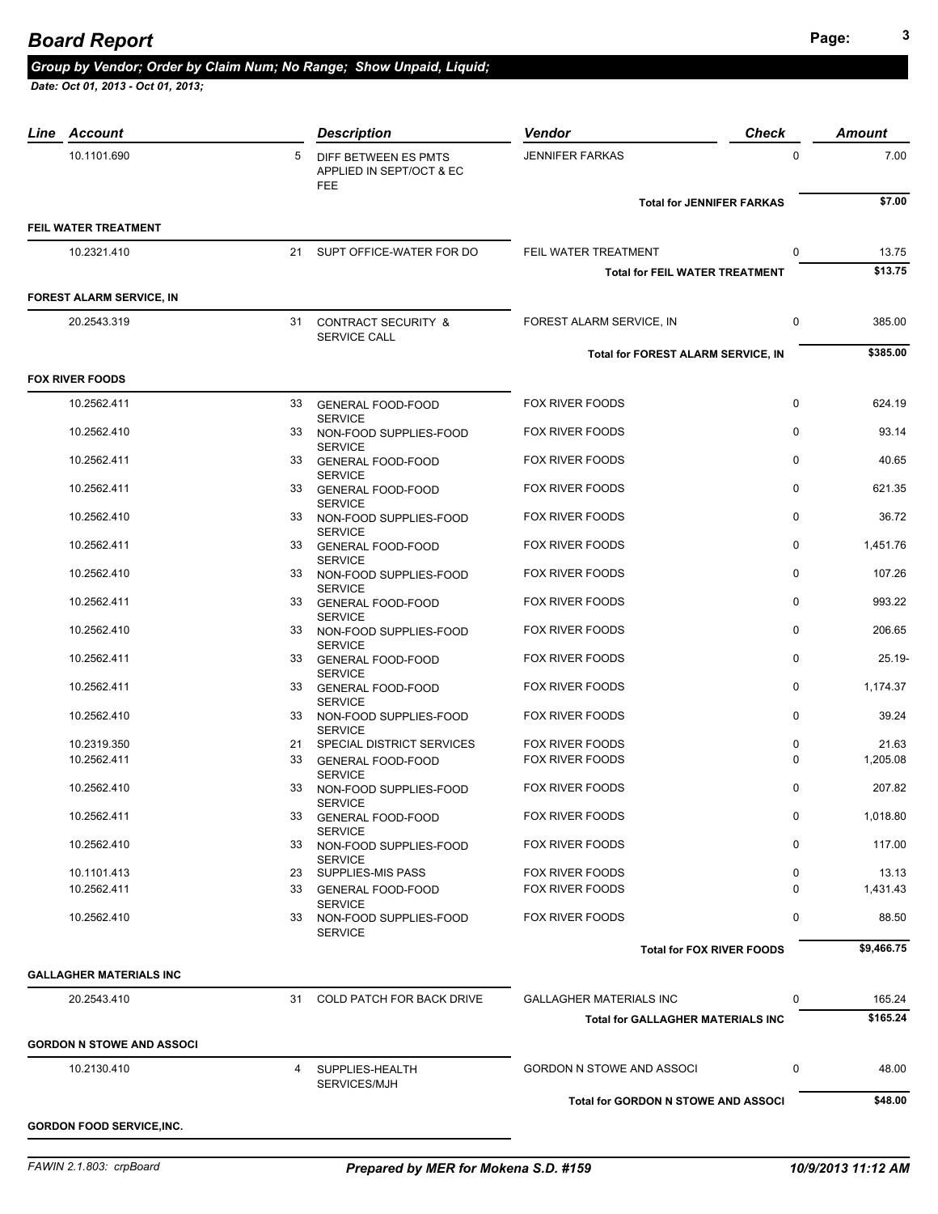| Line Account                     |    | <b>Description</b>                                             | <b>Vendor</b>                            | <b>Check</b> | <b>Amount</b> |
|----------------------------------|----|----------------------------------------------------------------|------------------------------------------|--------------|---------------|
| 10.1101.690                      | 5  | DIFF BETWEEN ES PMTS<br>APPLIED IN SEPT/OCT & EC<br><b>FEE</b> | <b>JENNIFER FARKAS</b>                   | $\mathbf 0$  | 7.00          |
|                                  |    |                                                                | <b>Total for JENNIFER FARKAS</b>         |              | \$7.00        |
| FEIL WATER TREATMENT             |    |                                                                |                                          |              |               |
| 10.2321.410                      |    | 21 SUPT OFFICE-WATER FOR DO                                    | FEIL WATER TREATMENT                     | 0            | 13.75         |
|                                  |    |                                                                | <b>Total for FEIL WATER TREATMENT</b>    |              | \$13.75       |
| <b>FOREST ALARM SERVICE, IN</b>  |    |                                                                |                                          |              |               |
| 20.2543.319                      |    | 31 CONTRACT SECURITY &<br>SERVICE CALL                         | FOREST ALARM SERVICE, IN                 | 0            | 385.00        |
|                                  |    |                                                                | Total for FOREST ALARM SERVICE, IN       |              | \$385.00      |
| <b>FOX RIVER FOODS</b>           |    |                                                                |                                          |              |               |
| 10.2562.411                      |    | 33 GENERAL FOOD-FOOD                                           | FOX RIVER FOODS                          | $\mathbf 0$  | 624.19        |
| 10.2562.410                      |    | <b>SERVICE</b><br>33 NON-FOOD SUPPLIES-FOOD                    | <b>FOX RIVER FOODS</b>                   | 0            | 93.14         |
| 10.2562.411                      |    | <b>SERVICE</b><br>33 GENERAL FOOD-FOOD                         | <b>FOX RIVER FOODS</b>                   | $\mathbf 0$  | 40.65         |
| 10.2562.411                      |    | <b>SERVICE</b><br>33 GENERAL FOOD-FOOD                         | <b>FOX RIVER FOODS</b>                   | $\mathbf 0$  | 621.35        |
| 10.2562.410                      |    | <b>SERVICE</b><br>33 NON-FOOD SUPPLIES-FOOD<br><b>SERVICE</b>  | <b>FOX RIVER FOODS</b>                   | $\mathbf 0$  | 36.72         |
| 10.2562.411                      | 33 | <b>GENERAL FOOD-FOOD</b><br><b>SERVICE</b>                     | <b>FOX RIVER FOODS</b>                   | 0            | 1,451.76      |
| 10.2562.410                      |    | 33 NON-FOOD SUPPLIES-FOOD<br><b>SERVICE</b>                    | <b>FOX RIVER FOODS</b>                   | 0            | 107.26        |
| 10.2562.411                      |    | 33 GENERAL FOOD-FOOD<br><b>SERVICE</b>                         | <b>FOX RIVER FOODS</b>                   | 0            | 993.22        |
| 10.2562.410                      |    | 33 NON-FOOD SUPPLIES-FOOD<br><b>SERVICE</b>                    | <b>FOX RIVER FOODS</b>                   | $\mathbf 0$  | 206.65        |
| 10.2562.411                      |    | 33 GENERAL FOOD-FOOD<br><b>SERVICE</b>                         | <b>FOX RIVER FOODS</b>                   | $\mathbf 0$  | 25.19-        |
| 10.2562.411                      |    | 33 GENERAL FOOD-FOOD<br><b>SERVICE</b>                         | <b>FOX RIVER FOODS</b>                   | $\mathbf 0$  | 1,174.37      |
| 10.2562.410                      | 33 | NON-FOOD SUPPLIES-FOOD<br><b>SERVICE</b>                       | <b>FOX RIVER FOODS</b>                   | 0            | 39.24         |
| 10.2319.350                      | 21 | SPECIAL DISTRICT SERVICES                                      | <b>FOX RIVER FOODS</b>                   | $\mathbf 0$  | 21.63         |
| 10.2562.411                      | 33 | <b>GENERAL FOOD-FOOD</b><br><b>SERVICE</b>                     | <b>FOX RIVER FOODS</b>                   | $\Omega$     | 1,205.08      |
| 10.2562.410                      | 33 | NON-FOOD SUPPLIES-FOOD<br><b>SERVICE</b>                       | <b>FOX RIVER FOODS</b>                   | 0            | 207.82        |
| 10.2562.411                      | 33 | <b>GENERAL FOOD-FOOD</b><br><b>SERVICE</b>                     | <b>FOX RIVER FOODS</b>                   | 0            | 1,018.80      |
| 10.2562.410                      | 33 | NON-FOOD SUPPLIES-FOOD<br><b>SERVICE</b>                       | <b>FOX RIVER FOODS</b>                   | 0            | 117.00        |
| 10.1101.413                      |    | 23 SUPPLIES-MIS PASS                                           | <b>FOX RIVER FOODS</b>                   | 0            | 13.13         |
| 10.2562.411                      |    | 33 GENERAL FOOD-FOOD<br><b>SERVICE</b>                         | <b>FOX RIVER FOODS</b>                   | $\Omega$     | 1,431.43      |
| 10.2562.410                      | 33 | NON-FOOD SUPPLIES-FOOD<br><b>SERVICE</b>                       | <b>FOX RIVER FOODS</b>                   | 0            | 88.50         |
|                                  |    |                                                                | <b>Total for FOX RIVER FOODS</b>         |              | \$9,466.75    |
| <b>GALLAGHER MATERIALS INC</b>   |    |                                                                |                                          |              |               |
| 20.2543.410                      | 31 | <b>COLD PATCH FOR BACK DRIVE</b>                               | <b>GALLAGHER MATERIALS INC</b>           | 0            | 165.24        |
|                                  |    |                                                                | <b>Total for GALLAGHER MATERIALS INC</b> |              | \$165.24      |
| <b>GORDON N STOWE AND ASSOCI</b> |    |                                                                |                                          |              |               |
| 10.2130.410                      |    | 4 SUPPLIES-HEALTH<br>SERVICES/MJH                              | <b>GORDON N STOWE AND ASSOCI</b>         | 0            | 48.00         |
|                                  |    |                                                                | Total for GORDON N STOWE AND ASSOCI      |              | \$48.00       |
| <b>GORDON FOOD SERVICE, INC.</b> |    |                                                                |                                          |              |               |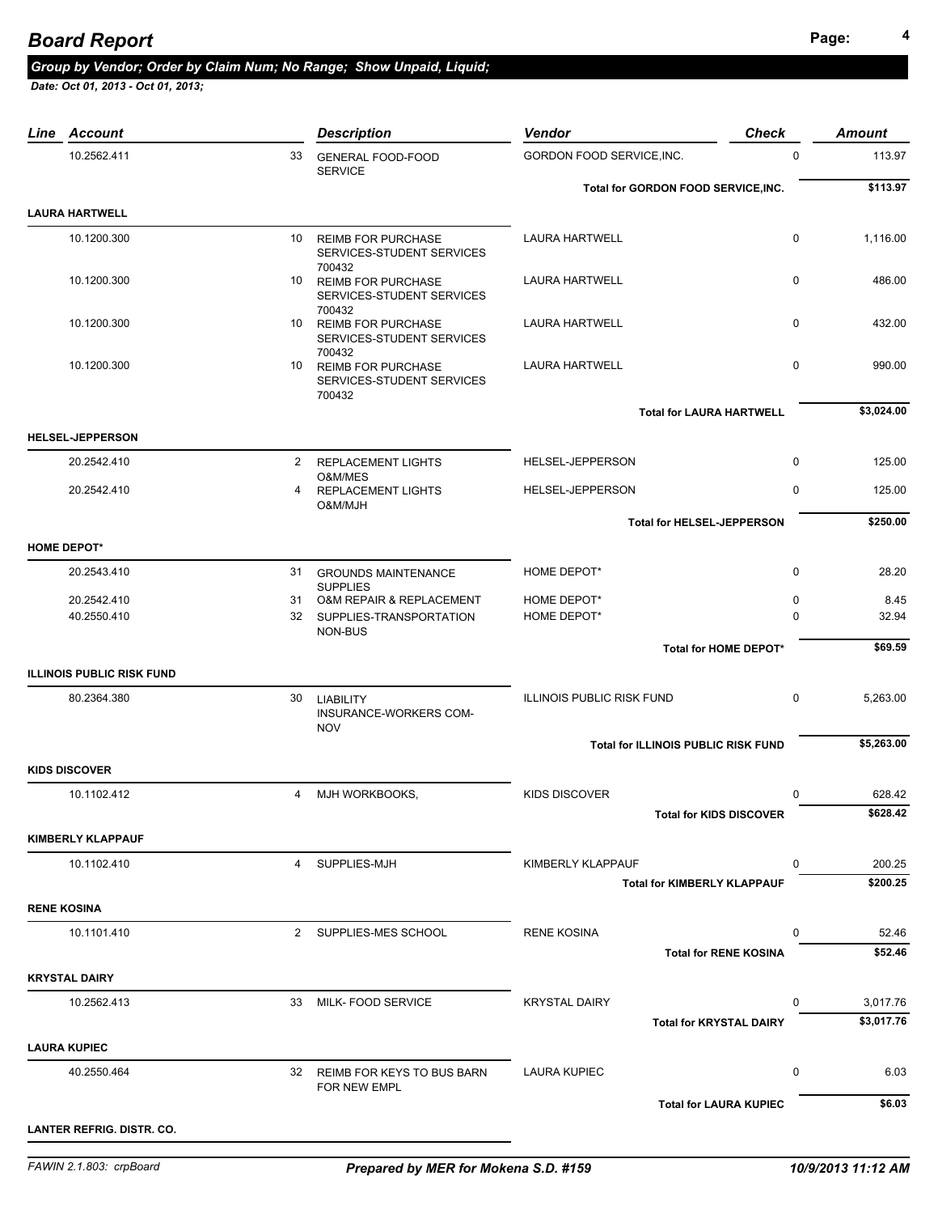## **Page: <sup>4</sup>** *Board Report*

#### *Group by Vendor; Order by Claim Num; No Range; Show Unpaid, Liquid;*

|                    | <b>Line Account</b>              |                | <b>Description</b>                            | <b>Check</b><br><b>Vendor</b>                          |              | <b>Amount</b>          |
|--------------------|----------------------------------|----------------|-----------------------------------------------|--------------------------------------------------------|--------------|------------------------|
|                    | 10.2562.411                      | 33             | <b>GENERAL FOOD-FOOD</b><br><b>SERVICE</b>    | GORDON FOOD SERVICE, INC.                              | $\mathbf 0$  | 113.97                 |
|                    |                                  |                |                                               | Total for GORDON FOOD SERVICE, INC.                    |              | \$113.97               |
|                    | <b>LAURA HARTWELL</b>            |                |                                               |                                                        |              |                        |
|                    | 10.1200.300                      | 10             | <b>REIMB FOR PURCHASE</b>                     | <b>LAURA HARTWELL</b>                                  | $\mathbf 0$  | 1,116.00               |
|                    |                                  |                | SERVICES-STUDENT SERVICES                     |                                                        |              |                        |
|                    | 10.1200.300                      |                | 700432<br>10 REIMB FOR PURCHASE               | <b>LAURA HARTWELL</b>                                  | $\mathbf 0$  | 486.00                 |
|                    |                                  |                | SERVICES-STUDENT SERVICES                     |                                                        |              |                        |
|                    | 10.1200.300                      |                | 700432<br>10 REIMB FOR PURCHASE               | <b>LAURA HARTWELL</b>                                  | $\mathbf 0$  | 432.00                 |
|                    |                                  |                | SERVICES-STUDENT SERVICES<br>700432           |                                                        |              |                        |
|                    | 10.1200.300                      |                | 10 REIMB FOR PURCHASE                         | <b>LAURA HARTWELL</b>                                  | $\mathbf 0$  | 990.00                 |
|                    |                                  |                | SERVICES-STUDENT SERVICES<br>700432           |                                                        |              |                        |
|                    |                                  |                |                                               | <b>Total for LAURA HARTWELL</b>                        |              | \$3,024.00             |
|                    | <b>HELSEL-JEPPERSON</b>          |                |                                               |                                                        |              |                        |
|                    | 20.2542.410                      |                | 2 REPLACEMENT LIGHTS                          | HELSEL-JEPPERSON                                       | $\mathbf{0}$ | 125.00                 |
|                    | 20.2542.410                      | 4              | O&M/MES<br><b>REPLACEMENT LIGHTS</b>          | HELSEL-JEPPERSON                                       | 0            | 125.00                 |
|                    |                                  |                | O&M/MJH                                       |                                                        |              | \$250.00               |
|                    |                                  |                |                                               | <b>Total for HELSEL-JEPPERSON</b>                      |              |                        |
| <b>HOME DEPOT*</b> |                                  |                |                                               |                                                        |              |                        |
|                    | 20.2543.410                      |                | 31 GROUNDS MAINTENANCE<br><b>SUPPLIES</b>     | HOME DEPOT*                                            | $\mathbf 0$  | 28.20                  |
|                    | 20.2542.410                      |                | 31 O&M REPAIR & REPLACEMENT                   | HOME DEPOT*                                            | 0            | 8.45                   |
|                    | 40.2550.410                      | 32             | SUPPLIES-TRANSPORTATION<br>NON-BUS            | HOME DEPOT*                                            | 0            | 32.94                  |
|                    |                                  |                |                                               | Total for HOME DEPOT*                                  |              | \$69.59                |
|                    | <b>ILLINOIS PUBLIC RISK FUND</b> |                |                                               |                                                        |              |                        |
|                    | 80.2364.380                      | 30             | <b>LIABILITY</b>                              | <b>ILLINOIS PUBLIC RISK FUND</b>                       | $\mathbf 0$  | 5,263.00               |
|                    |                                  |                | INSURANCE-WORKERS COM-<br><b>NOV</b>          |                                                        |              |                        |
|                    |                                  |                |                                               | <b>Total for ILLINOIS PUBLIC RISK FUND</b>             |              | \$5,263.00             |
|                    | <b>KIDS DISCOVER</b>             |                |                                               |                                                        |              |                        |
|                    | 10.1102.412                      | $\overline{4}$ | MJH WORKBOOKS,                                | <b>KIDS DISCOVER</b>                                   | 0            | 628.42                 |
|                    |                                  |                |                                               | <b>Total for KIDS DISCOVER</b>                         |              | \$628.42               |
|                    | <b>KIMBERLY KLAPPAUF</b>         |                |                                               |                                                        |              |                        |
|                    | 10.1102.410                      | 4              | SUPPLIES-MJH                                  | KIMBERLY KLAPPAUF                                      | $\Omega$     | 200.25                 |
|                    |                                  |                |                                               | <b>Total for KIMBERLY KLAPPAUF</b>                     |              | \$200.25               |
| <b>RENE KOSINA</b> |                                  |                |                                               |                                                        |              |                        |
|                    | 10.1101.410                      |                | 2 SUPPLIES-MES SCHOOL                         | <b>RENE KOSINA</b>                                     | 0            | 52.46                  |
|                    |                                  |                |                                               | <b>Total for RENE KOSINA</b>                           |              | \$52.46                |
|                    |                                  |                |                                               |                                                        |              |                        |
|                    | <b>KRYSTAL DAIRY</b>             |                |                                               |                                                        |              |                        |
|                    | 10.2562.413                      | 33             | MILK- FOOD SERVICE                            | <b>KRYSTAL DAIRY</b><br><b>Total for KRYSTAL DAIRY</b> | 0            | 3,017.76<br>\$3,017.76 |
|                    |                                  |                |                                               |                                                        |              |                        |
|                    | <b>LAURA KUPIEC</b>              |                |                                               |                                                        |              |                        |
|                    | 40.2550.464                      |                | 32 REIMB FOR KEYS TO BUS BARN<br>FOR NEW EMPL | <b>LAURA KUPIEC</b>                                    | 0            | 6.03                   |
|                    |                                  |                |                                               | <b>Total for LAURA KUPIEC</b>                          |              | \$6.03                 |
|                    | LANTER REFRIG. DISTR. CO.        |                |                                               |                                                        |              |                        |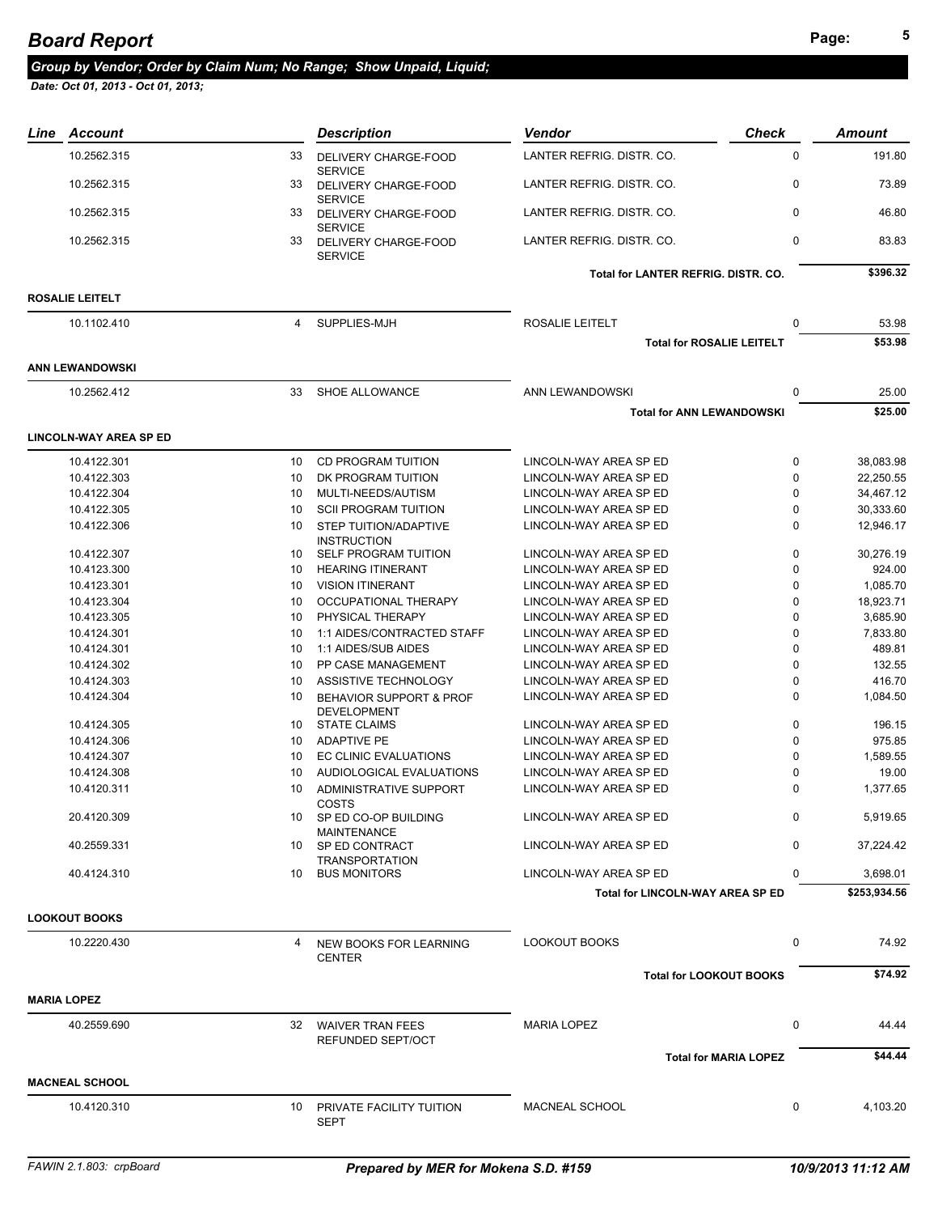## *Group by Vendor; Order by Claim Num; No Range; Show Unpaid, Liquid;*

| <b>Check</b>                               | Amount       |
|--------------------------------------------|--------------|
| $\mathbf 0$                                | 191.80       |
| $\mathbf 0$                                | 73.89        |
| $\mathbf 0$                                | 46.80        |
| $\mathbf 0$                                | 83.83        |
| <b>Total for LANTER REFRIG, DISTR, CO.</b> | \$396.32     |
|                                            |              |
| 0                                          | 53.98        |
| <b>Total for ROSALIE LEITELT</b>           | \$53.98      |
|                                            |              |
| 0                                          | 25.00        |
| <b>Total for ANN LEWANDOWSKI</b>           | \$25.00      |
|                                            |              |
| 0                                          | 38.083.98    |
| $\mathbf 0$                                | 22,250.55    |
| $\mathbf 0$                                | 34,467.12    |
| $\mathbf 0$                                | 30.333.60    |
| $\mathbf 0$                                | 12,946.17    |
| 0                                          | 30,276.19    |
| 0                                          | 924.00       |
| 0                                          | 1,085.70     |
| 0                                          | 18,923.71    |
| 0                                          | 3,685.90     |
| $\Omega$                                   | 7,833.80     |
| 0                                          | 489.81       |
| $\mathbf 0$                                | 132.55       |
| 0                                          | 416.70       |
| $\Omega$                                   | 1,084.50     |
| $\mathbf 0$                                | 196.15       |
| 0                                          | 975.85       |
| $\mathbf 0$                                | 1,589.55     |
| $\mathbf 0$                                | 19.00        |
| $\Omega$                                   | 1,377.65     |
| 0                                          | 5,919.65     |
| $\mathbf 0$                                | 37.224.42    |
| $\Omega$                                   | 3,698.01     |
| Total for LINCOLN-WAY AREA SP ED           | \$253,934.56 |
|                                            |              |
| 0                                          | 74.92        |
| <b>Total for LOOKOUT BOOKS</b>             | \$74.92      |
|                                            |              |
| 0                                          | 44.44        |
| <b>Total for MARIA LOPEZ</b>               | \$44.44      |
|                                            |              |
| 0                                          | 4,103.20     |
|                                            |              |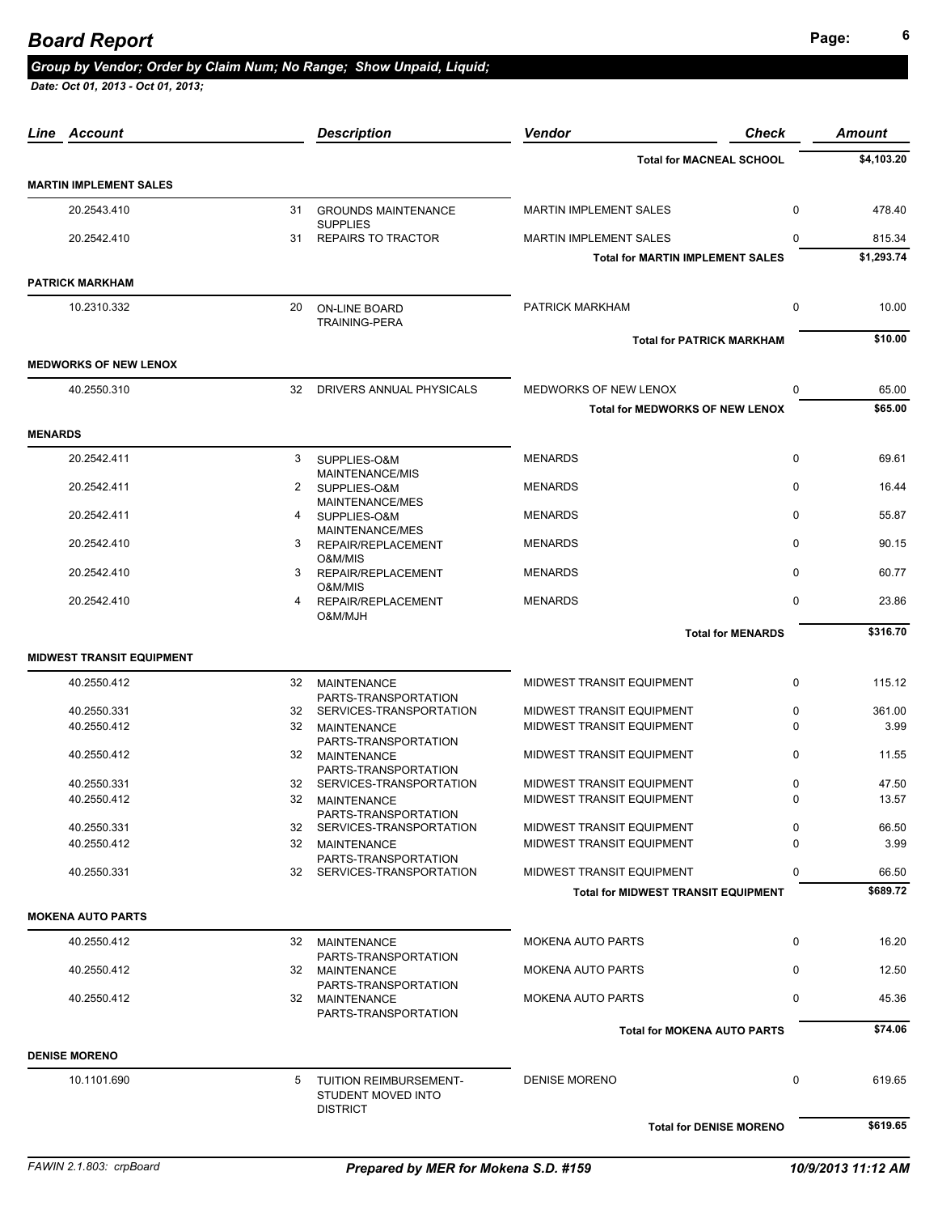# **Page: <sup>6</sup>** *Board Report*

### *Group by Vendor; Order by Claim Num; No Range; Show Unpaid, Liquid;*

| Line Account                     |    | <b>Description</b>                                 | Vendor                                     | Check        | <b>Amount</b> |
|----------------------------------|----|----------------------------------------------------|--------------------------------------------|--------------|---------------|
|                                  |    |                                                    | <b>Total for MACNEAL SCHOOL</b>            |              | \$4,103.20    |
| <b>MARTIN IMPLEMENT SALES</b>    |    |                                                    |                                            |              |               |
| 20.2543.410                      |    | 31 GROUNDS MAINTENANCE                             | <b>MARTIN IMPLEMENT SALES</b>              | $\mathbf 0$  | 478.40        |
| 20.2542.410                      | 31 | <b>SUPPLIES</b><br><b>REPAIRS TO TRACTOR</b>       | MARTIN IMPLEMENT SALES                     | $\Omega$     | 815.34        |
|                                  |    |                                                    | <b>Total for MARTIN IMPLEMENT SALES</b>    |              | \$1,293.74    |
| <b>PATRICK MARKHAM</b>           |    |                                                    |                                            |              |               |
| 10.2310.332                      | 20 | ON-LINE BOARD<br><b>TRAINING-PERA</b>              | PATRICK MARKHAM                            | $\mathbf 0$  | 10.00         |
|                                  |    |                                                    | <b>Total for PATRICK MARKHAM</b>           |              | \$10.00       |
| <b>MEDWORKS OF NEW LENOX</b>     |    |                                                    |                                            |              |               |
| 40.2550.310                      | 32 | DRIVERS ANNUAL PHYSICALS                           | MEDWORKS OF NEW LENOX                      | $\mathbf 0$  | 65.00         |
|                                  |    |                                                    | <b>Total for MEDWORKS OF NEW LENOX</b>     |              | \$65.00       |
| <b>MENARDS</b>                   |    |                                                    |                                            |              |               |
| 20.2542.411                      | 3  | SUPPLIES-O&M<br>MAINTENANCE/MIS                    | <b>MENARDS</b>                             | $\mathbf 0$  | 69.61         |
| 20.2542.411                      | 2  | SUPPLIES-O&M<br>MAINTENANCE/MES                    | <b>MENARDS</b>                             | $\mathbf 0$  | 16.44         |
| 20.2542.411                      | 4  | SUPPLIES-O&M                                       | <b>MENARDS</b>                             | $\mathbf 0$  | 55.87         |
| 20.2542.410                      | 3  | MAINTENANCE/MES<br>REPAIR/REPLACEMENT<br>O&M/MIS   | <b>MENARDS</b>                             | $\mathbf{0}$ | 90.15         |
| 20.2542.410                      | 3  | REPAIR/REPLACEMENT<br>O&M/MIS                      | <b>MENARDS</b>                             | $\Omega$     | 60.77         |
| 20.2542.410                      | 4  | REPAIR/REPLACEMENT<br>O&M/MJH                      | <b>MENARDS</b>                             | $\mathbf 0$  | 23.86         |
|                                  |    |                                                    | <b>Total for MENARDS</b>                   |              | \$316.70      |
| <b>MIDWEST TRANSIT EQUIPMENT</b> |    |                                                    |                                            |              |               |
| 40.2550.412                      | 32 | <b>MAINTENANCE</b>                                 | MIDWEST TRANSIT EQUIPMENT                  | $\mathbf 0$  | 115.12        |
| 40.2550.331                      |    | PARTS-TRANSPORTATION<br>32 SERVICES-TRANSPORTATION | MIDWEST TRANSIT EQUIPMENT                  | 0            | 361.00        |
| 40.2550.412                      | 32 | MAINTENANCE<br>PARTS-TRANSPORTATION                | MIDWEST TRANSIT EQUIPMENT                  | $\Omega$     | 3.99          |
| 40.2550.412                      |    | 32 MAINTENANCE                                     | MIDWEST TRANSIT EQUIPMENT                  | 0            | 11.55         |
| 40.2550.331                      | 32 | PARTS-TRANSPORTATION<br>SERVICES-TRANSPORTATION    | MIDWEST TRANSIT EQUIPMENT                  | 0            | 47.50         |
| 40.2550.412                      | 32 | <b>MAINTENANCE</b>                                 | MIDWEST TRANSIT EQUIPMENT                  | $\Omega$     | 13.57         |
| 40.2550.331                      |    | PARTS-TRANSPORTATION<br>32 SERVICES-TRANSPORTATION | MIDWEST TRANSIT EQUIPMENT                  | 0            | 66.50         |
| 40.2550.412                      |    | 32 MAINTENANCE                                     | MIDWEST TRANSIT EQUIPMENT                  | 0            | 3.99          |
| 40.2550.331                      | 32 | PARTS-TRANSPORTATION<br>SERVICES-TRANSPORTATION    | MIDWEST TRANSIT EQUIPMENT                  | 0            | 66.50         |
|                                  |    |                                                    | <b>Total for MIDWEST TRANSIT EQUIPMENT</b> |              | \$689.72      |
| <b>MOKENA AUTO PARTS</b>         |    |                                                    |                                            |              |               |
| 40.2550.412                      |    | 32 MAINTENANCE                                     | <b>MOKENA AUTO PARTS</b>                   | $\mathbf 0$  | 16.20         |
| 40.2550.412                      |    | PARTS-TRANSPORTATION<br>32 MAINTENANCE             | <b>MOKENA AUTO PARTS</b>                   | 0            | 12.50         |
| 40.2550.412                      |    | PARTS-TRANSPORTATION<br>32 MAINTENANCE             | <b>MOKENA AUTO PARTS</b>                   | 0            | 45.36         |
|                                  |    | PARTS-TRANSPORTATION                               | <b>Total for MOKENA AUTO PARTS</b>         |              | \$74.06       |
| <b>DENISE MORENO</b>             |    |                                                    |                                            |              |               |
| 10.1101.690                      | 5  | TUITION REIMBURSEMENT-<br>STUDENT MOVED INTO       | <b>DENISE MORENO</b>                       | $\mathbf 0$  | 619.65        |
|                                  |    | <b>DISTRICT</b>                                    | <b>Total for DENISE MORENO</b>             |              | \$619.65      |
|                                  |    |                                                    |                                            |              |               |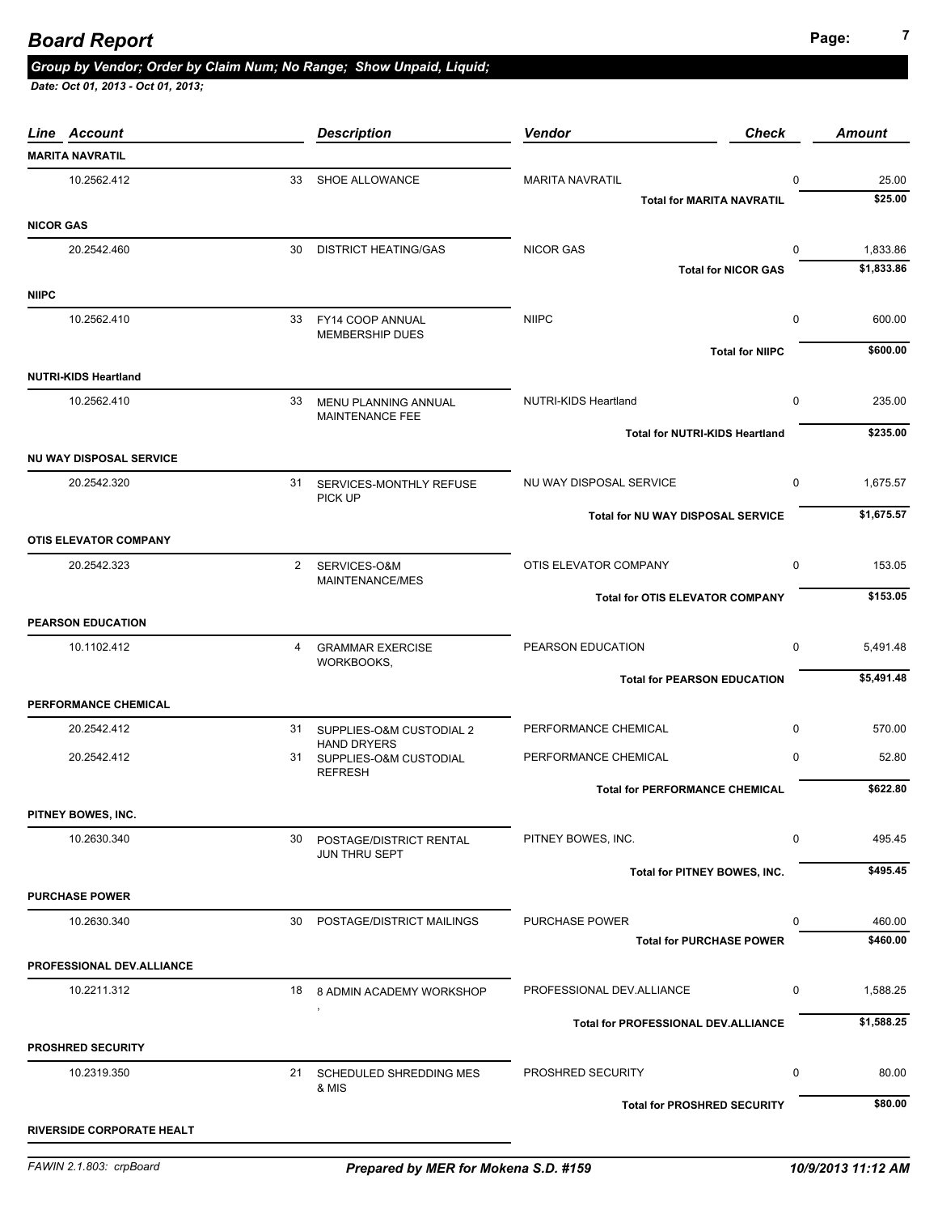| Line Account                     |    | <b>Description</b>                             | Vendor                                     | <b>Check</b>               | <b>Amount</b> |
|----------------------------------|----|------------------------------------------------|--------------------------------------------|----------------------------|---------------|
| <b>MARITA NAVRATIL</b>           |    |                                                |                                            |                            |               |
| 10.2562.412                      | 33 | SHOE ALLOWANCE                                 | <b>MARITA NAVRATIL</b>                     | 0                          | 25.00         |
|                                  |    |                                                | <b>Total for MARITA NAVRATIL</b>           |                            | \$25.00       |
| <b>NICOR GAS</b>                 |    |                                                |                                            |                            |               |
| 20.2542.460                      | 30 | <b>DISTRICT HEATING/GAS</b>                    | <b>NICOR GAS</b>                           | 0                          | 1,833.86      |
|                                  |    |                                                |                                            | <b>Total for NICOR GAS</b> | \$1,833.86    |
| <b>NIIPC</b>                     |    |                                                |                                            |                            |               |
| 10.2562.410                      | 33 | FY14 COOP ANNUAL<br><b>MEMBERSHIP DUES</b>     | <b>NIIPC</b>                               | $\mathbf 0$                | 600.00        |
|                                  |    |                                                |                                            | <b>Total for NIIPC</b>     | \$600.00      |
| <b>NUTRI-KIDS Heartland</b>      |    |                                                |                                            |                            |               |
| 10.2562.410                      | 33 | MENU PLANNING ANNUAL                           | NUTRI-KIDS Heartland                       | $\mathbf 0$                | 235.00        |
|                                  |    | MAINTENANCE FEE                                |                                            |                            | \$235.00      |
|                                  |    |                                                | <b>Total for NUTRI-KIDS Heartland</b>      |                            |               |
| <b>NU WAY DISPOSAL SERVICE</b>   |    |                                                |                                            |                            |               |
| 20.2542.320                      |    | 31 SERVICES-MONTHLY REFUSE<br>PICK UP          | NU WAY DISPOSAL SERVICE                    | 0                          | 1,675.57      |
|                                  |    |                                                | Total for NU WAY DISPOSAL SERVICE          |                            | \$1,675.57    |
| <b>OTIS ELEVATOR COMPANY</b>     |    |                                                |                                            |                            |               |
| 20.2542.323                      |    | 2 SERVICES-O&M                                 | OTIS ELEVATOR COMPANY                      | 0                          | 153.05        |
|                                  |    | MAINTENANCE/MES                                | <b>Total for OTIS ELEVATOR COMPANY</b>     |                            | \$153.05      |
| <b>PEARSON EDUCATION</b>         |    |                                                |                                            |                            |               |
| 10.1102.412                      | 4  | <b>GRAMMAR EXERCISE</b>                        | PEARSON EDUCATION                          | $\mathbf 0$                | 5,491.48      |
|                                  |    | WORKBOOKS,                                     |                                            |                            |               |
|                                  |    |                                                | <b>Total for PEARSON EDUCATION</b>         |                            | \$5,491.48    |
| PERFORMANCE CHEMICAL             |    |                                                |                                            |                            |               |
| 20.2542.412                      | 31 | SUPPLIES-O&M CUSTODIAL 2<br><b>HAND DRYERS</b> | PERFORMANCE CHEMICAL                       | $\mathbf 0$                | 570.00        |
| 20.2542.412                      |    | 31 SUPPLIES-O&M CUSTODIAL                      | PERFORMANCE CHEMICAL                       | $\mathbf 0$                | 52.80         |
|                                  |    | <b>REFRESH</b>                                 | <b>Total for PERFORMANCE CHEMICAL</b>      |                            | \$622.80      |
| PITNEY BOWES, INC.               |    |                                                |                                            |                            |               |
| 10.2630.340                      | 30 | POSTAGE/DISTRICT RENTAL                        | PITNEY BOWES, INC.                         | 0                          | 495.45        |
|                                  |    | JUN THRU SEPT                                  |                                            |                            |               |
|                                  |    |                                                | Total for PITNEY BOWES, INC.               |                            | \$495.45      |
| <b>PURCHASE POWER</b>            |    |                                                |                                            |                            |               |
| 10.2630.340                      | 30 | POSTAGE/DISTRICT MAILINGS                      | <b>PURCHASE POWER</b>                      | 0                          | 460.00        |
|                                  |    |                                                | <b>Total for PURCHASE POWER</b>            |                            | \$460.00      |
| <b>PROFESSIONAL DEV.ALLIANCE</b> |    |                                                |                                            |                            |               |
| 10.2211.312                      | 18 | 8 ADMIN ACADEMY WORKSHOP                       | PROFESSIONAL DEV.ALLIANCE                  | 0                          | 1,588.25      |
|                                  |    |                                                | <b>Total for PROFESSIONAL DEV.ALLIANCE</b> |                            | \$1,588.25    |
| <b>PROSHRED SECURITY</b>         |    |                                                |                                            |                            |               |
| 10.2319.350                      | 21 | SCHEDULED SHREDDING MES                        | PROSHRED SECURITY                          | 0                          | 80.00         |
|                                  |    | & MIS                                          |                                            |                            |               |
|                                  |    |                                                | <b>Total for PROSHRED SECURITY</b>         |                            | \$80.00       |
| <b>RIVERSIDE CORPORATE HEALT</b> |    |                                                |                                            |                            |               |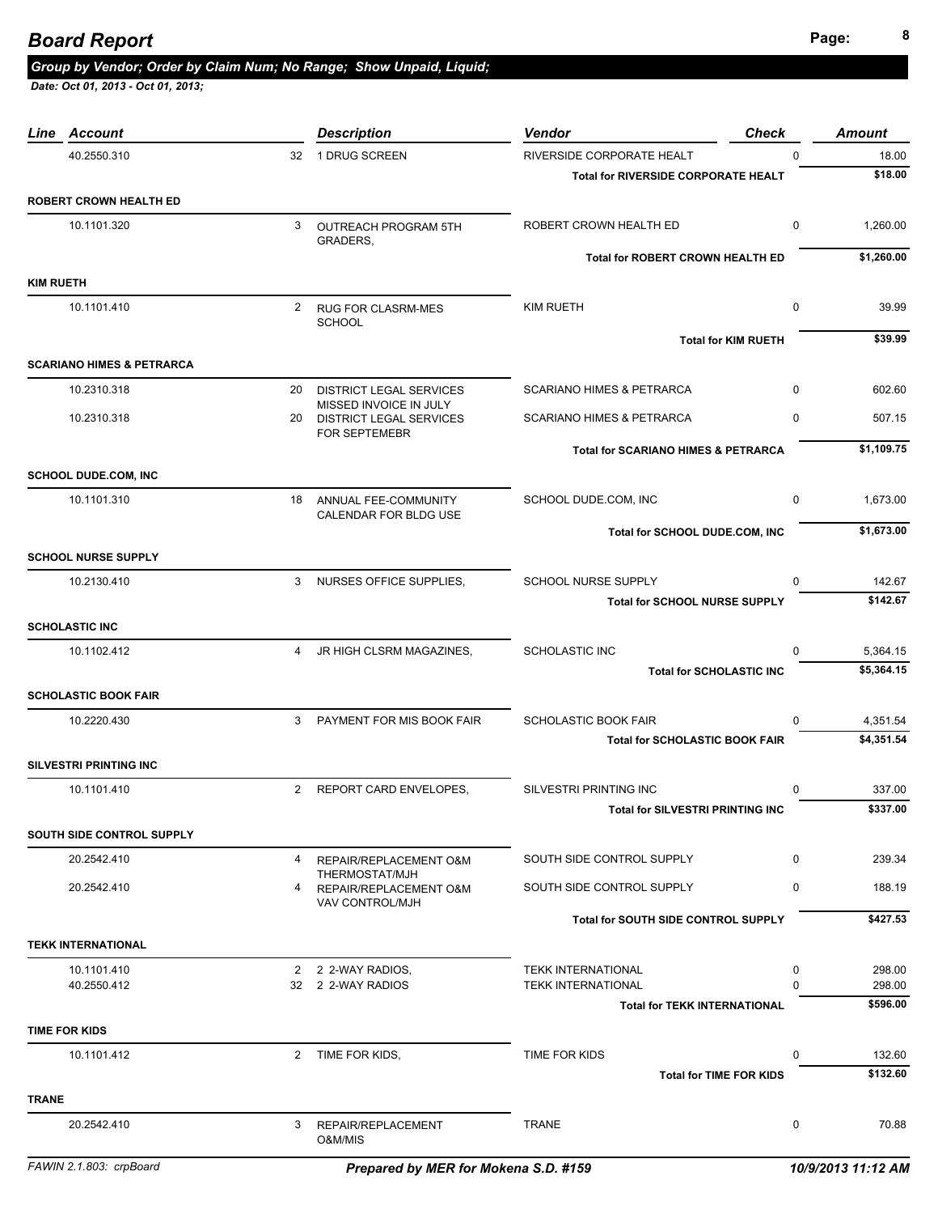| 40.2550.310                          |   | 32 1 DRUG SCREEN                                                      | RIVERSIDE CORPORATE HEALT                      | $\mathbf 0$ | 18.00      |
|--------------------------------------|---|-----------------------------------------------------------------------|------------------------------------------------|-------------|------------|
|                                      |   |                                                                       | <b>Total for RIVERSIDE CORPORATE HEALT</b>     |             | \$18.00    |
| <b>ROBERT CROWN HEALTH ED</b>        |   |                                                                       |                                                |             |            |
| 10.1101.320                          | 3 | OUTREACH PROGRAM 5TH<br>GRADERS,                                      | ROBERT CROWN HEALTH ED                         | $\mathbf 0$ | 1,260.00   |
|                                      |   |                                                                       | <b>Total for ROBERT CROWN HEALTH ED</b>        |             | \$1,260.00 |
| <b>KIM RUETH</b>                     |   |                                                                       |                                                |             |            |
| 10.1101.410                          |   | 2 RUG FOR CLASRM-MES<br><b>SCHOOL</b>                                 | <b>KIM RUETH</b>                               | $\mathbf 0$ | 39.99      |
|                                      |   |                                                                       | <b>Total for KIM RUETH</b>                     |             | \$39.99    |
| <b>SCARIANO HIMES &amp; PETRARCA</b> |   |                                                                       |                                                |             |            |
| 10.2310.318                          |   | 20 DISTRICT LEGAL SERVICES                                            | <b>SCARIANO HIMES &amp; PETRARCA</b>           | $\mathbf 0$ | 602.60     |
| 10.2310.318                          |   | MISSED INVOICE IN JULY<br>20 DISTRICT LEGAL SERVICES<br>FOR SEPTEMEBR | <b>SCARIANO HIMES &amp; PETRARCA</b>           | 0           | 507.15     |
|                                      |   |                                                                       | <b>Total for SCARIANO HIMES &amp; PETRARCA</b> |             | \$1,109.75 |
| <b>SCHOOL DUDE.COM, INC</b>          |   |                                                                       |                                                |             |            |
| 10.1101.310                          |   | 18 ANNUAL FEE-COMMUNITY<br>CALENDAR FOR BLDG USE                      | SCHOOL DUDE.COM, INC                           | 0           | 1,673.00   |
|                                      |   |                                                                       | Total for SCHOOL DUDE.COM, INC                 |             | \$1,673.00 |
| <b>SCHOOL NURSE SUPPLY</b>           |   |                                                                       |                                                |             |            |
| 10.2130.410                          |   | 3 NURSES OFFICE SUPPLIES,                                             | <b>SCHOOL NURSE SUPPLY</b>                     | $\Omega$    | 142.67     |
|                                      |   |                                                                       | <b>Total for SCHOOL NURSE SUPPLY</b>           |             | \$142.67   |
| <b>SCHOLASTIC INC</b>                |   |                                                                       |                                                |             |            |
| 10.1102.412                          | 4 | JR HIGH CLSRM MAGAZINES,                                              | <b>SCHOLASTIC INC</b>                          | $\Omega$    | 5,364.15   |
|                                      |   |                                                                       | <b>Total for SCHOLASTIC INC</b>                |             | \$5,364.15 |
| <b>SCHOLASTIC BOOK FAIR</b>          |   |                                                                       |                                                |             |            |
| 10.2220.430                          | 3 | PAYMENT FOR MIS BOOK FAIR                                             | <b>SCHOLASTIC BOOK FAIR</b>                    | $\Omega$    | 4,351.54   |
|                                      |   |                                                                       | <b>Total for SCHOLASTIC BOOK FAIR</b>          |             | \$4,351.54 |
| <b>SILVESTRI PRINTING INC</b>        |   |                                                                       |                                                |             |            |
| 10.1101.410                          |   | 2 REPORT CARD ENVELOPES,                                              | <b>SILVESTRI PRINTING INC</b>                  | $\Omega$    | 337.00     |
|                                      |   |                                                                       | <b>Total for SILVESTRI PRINTING INC</b>        |             | \$337.00   |
| SOUTH SIDE CONTROL SUPPLY            |   |                                                                       |                                                |             |            |
| 20.2542.410                          | 4 | REPAIR/REPLACEMENT O&M                                                | SOUTH SIDE CONTROL SUPPLY                      | 0           | 239.34     |
| 20.2542.410                          | 4 | THERMOSTAT/MJH<br>REPAIR/REPLACEMENT O&M<br>VAV CONTROL/MJH           | SOUTH SIDE CONTROL SUPPLY                      | 0           | 188.19     |
|                                      |   |                                                                       | Total for SOUTH SIDE CONTROL SUPPLY            |             | \$427.53   |
| <b>TEKK INTERNATIONAL</b>            |   |                                                                       |                                                |             |            |
| 10.1101.410                          |   | 2 2 2-WAY RADIOS,                                                     | <b>TEKK INTERNATIONAL</b>                      | 0           | 298.00     |
| 40.2550.412                          |   | 32 2 2-WAY RADIOS                                                     | <b>TEKK INTERNATIONAL</b>                      | $\Omega$    | 298.00     |
|                                      |   |                                                                       | <b>Total for TEKK INTERNATIONAL</b>            |             | \$596.00   |
| <b>TIME FOR KIDS</b>                 |   |                                                                       |                                                |             |            |
| 10.1101.412                          |   | 2 TIME FOR KIDS,                                                      | TIME FOR KIDS                                  | $\mathbf 0$ | 132.60     |
|                                      |   |                                                                       | <b>Total for TIME FOR KIDS</b>                 |             | \$132.60   |
| <b>TRANE</b>                         |   |                                                                       |                                                |             |            |
| 20.2542.410                          | 3 | REPAIR/REPLACEMENT<br>O&M/MIS                                         | <b>TRANE</b>                                   | $\mathbf 0$ | 70.88      |

*Line Account Description Vendor Check Amount*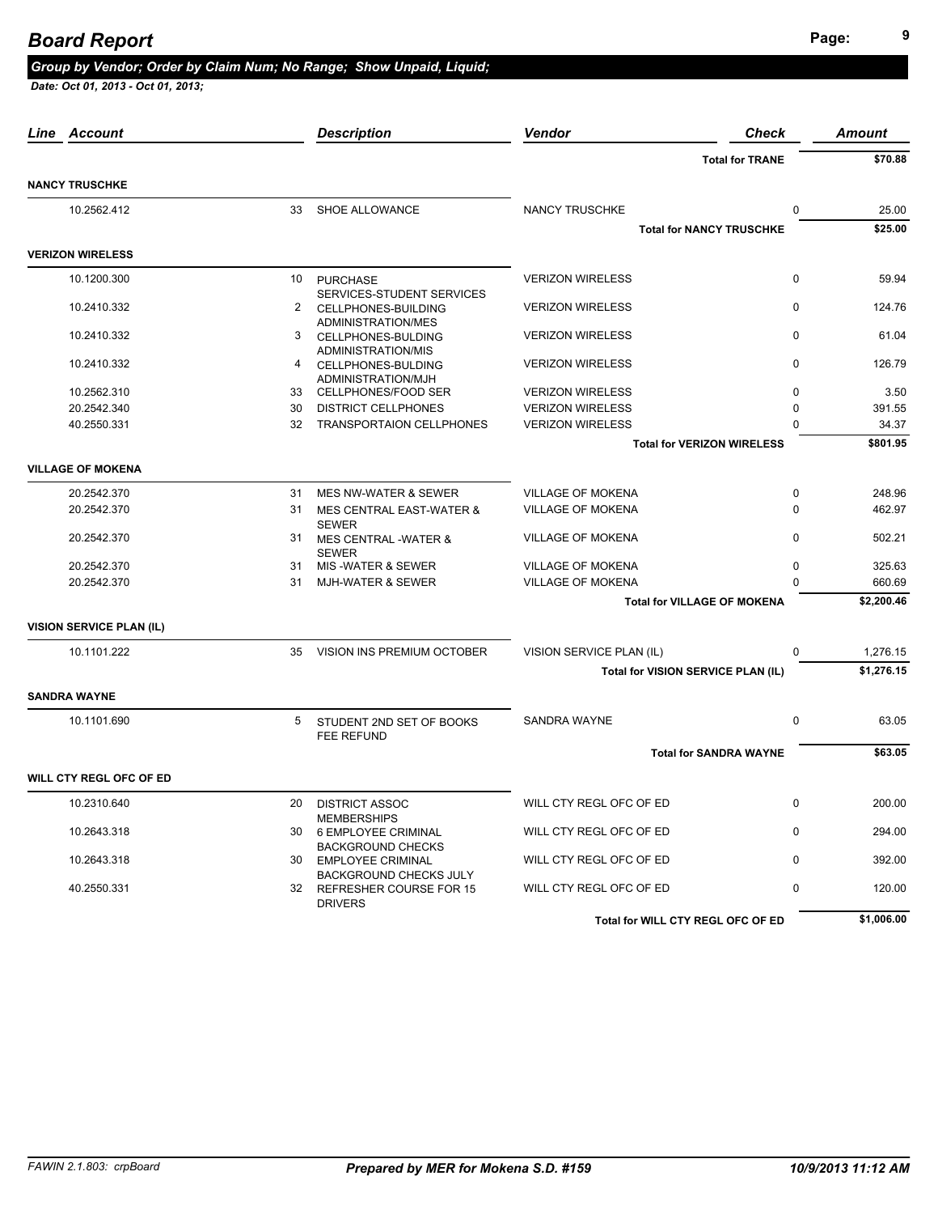|             |                                                                                                                                                                              | <b>Description</b>                              | Vendor                                                                                                                                   | <b>Check</b>            | <b>Amount</b>                                                                                                                                                                                                                                                   |
|-------------|------------------------------------------------------------------------------------------------------------------------------------------------------------------------------|-------------------------------------------------|------------------------------------------------------------------------------------------------------------------------------------------|-------------------------|-----------------------------------------------------------------------------------------------------------------------------------------------------------------------------------------------------------------------------------------------------------------|
|             |                                                                                                                                                                              |                                                 |                                                                                                                                          |                         | \$70.88                                                                                                                                                                                                                                                         |
|             |                                                                                                                                                                              |                                                 |                                                                                                                                          |                         |                                                                                                                                                                                                                                                                 |
| 10.2562.412 | 33                                                                                                                                                                           | SHOE ALLOWANCE                                  | <b>NANCY TRUSCHKE</b>                                                                                                                    | $\mathbf 0$             | 25.00                                                                                                                                                                                                                                                           |
|             |                                                                                                                                                                              |                                                 |                                                                                                                                          |                         | \$25.00                                                                                                                                                                                                                                                         |
|             |                                                                                                                                                                              |                                                 |                                                                                                                                          |                         |                                                                                                                                                                                                                                                                 |
| 10.1200.300 | 10                                                                                                                                                                           | <b>PURCHASE</b>                                 | <b>VERIZON WIRELESS</b>                                                                                                                  | $\mathbf 0$             | 59.94                                                                                                                                                                                                                                                           |
| 10.2410.332 | 2                                                                                                                                                                            | CELLPHONES-BUILDING                             | <b>VERIZON WIRELESS</b>                                                                                                                  | $\Omega$                | 124.76                                                                                                                                                                                                                                                          |
| 10.2410.332 | 3                                                                                                                                                                            | CELLPHONES-BULDING<br>ADMINISTRATION/MIS        | <b>VERIZON WIRELESS</b>                                                                                                                  | $\mathbf 0$             | 61.04                                                                                                                                                                                                                                                           |
| 10.2410.332 |                                                                                                                                                                              | ADMINISTRATION/MJH                              | <b>VERIZON WIRELESS</b>                                                                                                                  | $\mathbf 0$             | 126.79                                                                                                                                                                                                                                                          |
| 10.2562.310 | 33                                                                                                                                                                           | CELLPHONES/FOOD SER                             | <b>VERIZON WIRELESS</b>                                                                                                                  | 0                       | 3.50                                                                                                                                                                                                                                                            |
| 20.2542.340 | 30                                                                                                                                                                           | <b>DISTRICT CELLPHONES</b>                      | <b>VERIZON WIRELESS</b>                                                                                                                  | $\Omega$                | 391.55                                                                                                                                                                                                                                                          |
| 40.2550.331 | 32                                                                                                                                                                           | <b>TRANSPORTAION CELLPHONES</b>                 | <b>VERIZON WIRELESS</b>                                                                                                                  | $\Omega$                | 34.37                                                                                                                                                                                                                                                           |
|             |                                                                                                                                                                              |                                                 |                                                                                                                                          |                         | \$801.95                                                                                                                                                                                                                                                        |
|             |                                                                                                                                                                              |                                                 |                                                                                                                                          |                         |                                                                                                                                                                                                                                                                 |
| 20.2542.370 | 31                                                                                                                                                                           | <b>MES NW-WATER &amp; SEWER</b>                 | <b>VILLAGE OF MOKENA</b>                                                                                                                 | $\mathbf 0$             | 248.96                                                                                                                                                                                                                                                          |
| 20.2542.370 | 31                                                                                                                                                                           | MES CENTRAL EAST-WATER &<br><b>SEWER</b>        | <b>VILLAGE OF MOKENA</b>                                                                                                                 | $\Omega$                | 462.97                                                                                                                                                                                                                                                          |
| 20.2542.370 | 31                                                                                                                                                                           | <b>MES CENTRAL -WATER &amp;</b><br><b>SEWER</b> | <b>VILLAGE OF MOKENA</b>                                                                                                                 | $\Omega$                | 502.21                                                                                                                                                                                                                                                          |
| 20.2542.370 | 31                                                                                                                                                                           | MIS-WATER & SEWER                               | <b>VILLAGE OF MOKENA</b>                                                                                                                 | 0                       | 325.63                                                                                                                                                                                                                                                          |
| 20.2542.370 | 31                                                                                                                                                                           | <b>MJH-WATER &amp; SEWER</b>                    | <b>VILLAGE OF MOKENA</b>                                                                                                                 | $\Omega$                | 660.69                                                                                                                                                                                                                                                          |
|             |                                                                                                                                                                              |                                                 |                                                                                                                                          |                         | \$2,200.46                                                                                                                                                                                                                                                      |
|             |                                                                                                                                                                              |                                                 |                                                                                                                                          |                         |                                                                                                                                                                                                                                                                 |
| 10.1101.222 | 35                                                                                                                                                                           | VISION INS PREMIUM OCTOBER                      | VISION SERVICE PLAN (IL)                                                                                                                 | 0                       | 1,276.15                                                                                                                                                                                                                                                        |
|             |                                                                                                                                                                              |                                                 |                                                                                                                                          |                         | \$1,276.15                                                                                                                                                                                                                                                      |
|             |                                                                                                                                                                              |                                                 |                                                                                                                                          |                         |                                                                                                                                                                                                                                                                 |
| 10.1101.690 | 5                                                                                                                                                                            | STUDENT 2ND SET OF BOOKS                        | SANDRA WAYNE                                                                                                                             | $\mathbf 0$             | 63.05                                                                                                                                                                                                                                                           |
|             |                                                                                                                                                                              |                                                 |                                                                                                                                          |                         | \$63.05                                                                                                                                                                                                                                                         |
|             |                                                                                                                                                                              |                                                 |                                                                                                                                          |                         |                                                                                                                                                                                                                                                                 |
| 10.2310.640 | 20                                                                                                                                                                           |                                                 |                                                                                                                                          | $\mathbf 0$             | 200.00                                                                                                                                                                                                                                                          |
|             |                                                                                                                                                                              | <b>MEMBERSHIPS</b>                              |                                                                                                                                          |                         |                                                                                                                                                                                                                                                                 |
| 10.2643.318 | 30                                                                                                                                                                           | 6 EMPLOYEE CRIMINAL<br><b>BACKGROUND CHECKS</b> | WILL CTY REGL OFC OF ED                                                                                                                  |                         | 294.00                                                                                                                                                                                                                                                          |
| 10.2643.318 | 30                                                                                                                                                                           | <b>EMPLOYEE CRIMINAL</b>                        | WILL CTY REGL OFC OF ED                                                                                                                  | $\Omega$                | 392.00                                                                                                                                                                                                                                                          |
| 40.2550.331 | 32                                                                                                                                                                           | REFRESHER COURSE FOR 15<br><b>DRIVERS</b>       | WILL CTY REGL OFC OF ED                                                                                                                  | $\Omega$                | 120.00                                                                                                                                                                                                                                                          |
|             |                                                                                                                                                                              |                                                 |                                                                                                                                          |                         | \$1,006.00                                                                                                                                                                                                                                                      |
|             | Account<br><b>NANCY TRUSCHKE</b><br><b>VERIZON WIRELESS</b><br><b>VILLAGE OF MOKENA</b><br><b>VISION SERVICE PLAN (IL)</b><br><b>SANDRA WAYNE</b><br>WILL CTY REGL OFC OF ED |                                                 | SERVICES-STUDENT SERVICES<br>ADMINISTRATION/MES<br>4 CELLPHONES-BULDING<br>FEE REFUND<br><b>DISTRICT ASSOC</b><br>BACKGROUND CHECKS JULY | WILL CTY REGL OFC OF ED | <b>Total for TRANE</b><br><b>Total for NANCY TRUSCHKE</b><br><b>Total for VERIZON WIRELESS</b><br><b>Total for VILLAGE OF MOKENA</b><br>Total for VISION SERVICE PLAN (IL)<br><b>Total for SANDRA WAYNE</b><br>$\mathbf 0$<br>Total for WILL CTY REGL OFC OF ED |